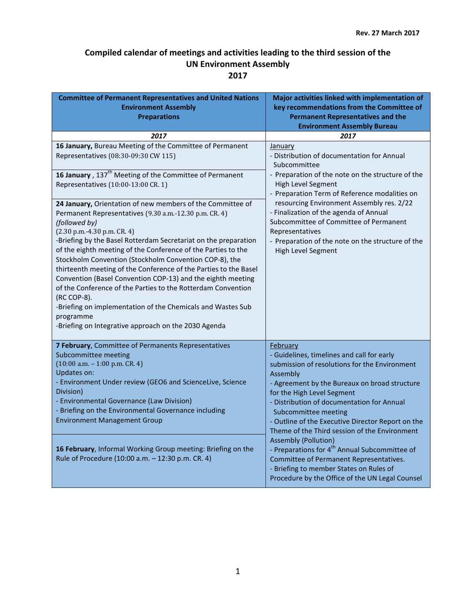| <b>Committee of Permanent Representatives and United Nations</b><br><b>Environment Assembly</b><br><b>Preparations</b>                                                                                                                                                                                                                                                                                                                                                                                                                                                                                                                                                                                                      | Major activities linked with implementation of<br>key recommendations from the Committee of<br><b>Permanent Representatives and the</b><br><b>Environment Assembly Bureau</b>                                                                                                                                                                                                                                                                                                                                                                                                                                       |
|-----------------------------------------------------------------------------------------------------------------------------------------------------------------------------------------------------------------------------------------------------------------------------------------------------------------------------------------------------------------------------------------------------------------------------------------------------------------------------------------------------------------------------------------------------------------------------------------------------------------------------------------------------------------------------------------------------------------------------|---------------------------------------------------------------------------------------------------------------------------------------------------------------------------------------------------------------------------------------------------------------------------------------------------------------------------------------------------------------------------------------------------------------------------------------------------------------------------------------------------------------------------------------------------------------------------------------------------------------------|
| 2017                                                                                                                                                                                                                                                                                                                                                                                                                                                                                                                                                                                                                                                                                                                        | 2017                                                                                                                                                                                                                                                                                                                                                                                                                                                                                                                                                                                                                |
| 16 January, Bureau Meeting of the Committee of Permanent<br>Representatives (08:30-09:30 CW 115)                                                                                                                                                                                                                                                                                                                                                                                                                                                                                                                                                                                                                            | January<br>- Distribution of documentation for Annual<br>Subcommittee<br>- Preparation of the note on the structure of the<br>High Level Segment<br>- Preparation Term of Reference modalities on<br>resourcing Environment Assembly res. 2/22<br>- Finalization of the agenda of Annual<br>Subcommittee of Committee of Permanent<br>Representatives<br>- Preparation of the note on the structure of the<br>High Level Segment                                                                                                                                                                                    |
| 16 January, 137 <sup>th</sup> Meeting of the Committee of Permanent<br>Representatives (10:00-13:00 CR. 1)                                                                                                                                                                                                                                                                                                                                                                                                                                                                                                                                                                                                                  |                                                                                                                                                                                                                                                                                                                                                                                                                                                                                                                                                                                                                     |
| 24 January, Orientation of new members of the Committee of<br>Permanent Representatives (9.30 a.m.-12.30 p.m. CR. 4)<br>(followed by)<br>$(2.30 p.m. -4.30 p.m. CR. 4)$<br>-Briefing by the Basel Rotterdam Secretariat on the preparation<br>of the eighth meeting of the Conference of the Parties to the<br>Stockholm Convention (Stockholm Convention COP-8), the<br>thirteenth meeting of the Conference of the Parties to the Basel<br>Convention (Basel Convention COP-13) and the eighth meeting<br>of the Conference of the Parties to the Rotterdam Convention<br>(RC COP-8).<br>-Briefing on implementation of the Chemicals and Wastes Sub<br>programme<br>-Briefing on Integrative approach on the 2030 Agenda |                                                                                                                                                                                                                                                                                                                                                                                                                                                                                                                                                                                                                     |
| 7 February, Committee of Permanents Representatives<br>Subcommittee meeting<br>$(10:00 a.m. - 1:00 p.m. CR. 4)$<br><b>Updates on:</b><br>- Environment Under review (GEO6 and ScienceLive, Science<br>Division)<br>- Environmental Governance (Law Division)<br>- Briefing on the Environmental Governance including<br><b>Environment Management Group</b>                                                                                                                                                                                                                                                                                                                                                                 | February<br>- Guidelines, timelines and call for early<br>submission of resolutions for the Environment<br>Assembly<br>- Agreement by the Bureaux on broad structure<br>for the High Level Segment<br>- Distribution of documentation for Annual<br>Subcommittee meeting<br>- Outline of the Executive Director Report on the<br>Theme of the Third session of the Environment<br><b>Assembly (Pollution)</b><br>- Preparations for 4 <sup>th</sup> Annual Subcommittee of<br>Committee of Permanent Representatives.<br>- Briefing to member States on Rules of<br>Procedure by the Office of the UN Legal Counsel |
| 16 February, Informal Working Group meeting: Briefing on the<br>Rule of Procedure (10:00 a.m. - 12:30 p.m. CR. 4)                                                                                                                                                                                                                                                                                                                                                                                                                                                                                                                                                                                                           |                                                                                                                                                                                                                                                                                                                                                                                                                                                                                                                                                                                                                     |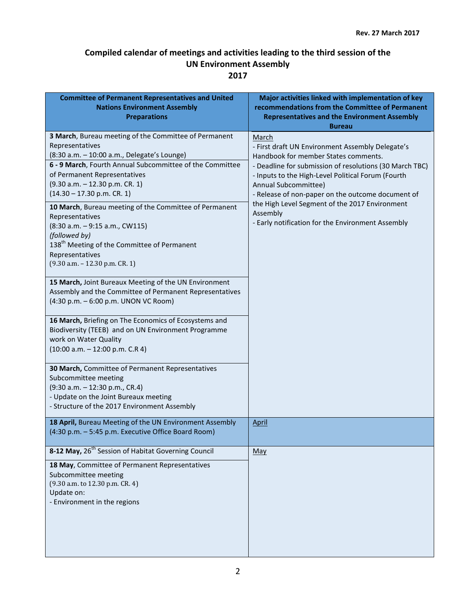| <b>Committee of Permanent Representatives and United</b><br><b>Nations Environment Assembly</b><br><b>Preparations</b>                                                                                                                                                                                                                                                                                                                                                                                                                    | Major activities linked with implementation of key<br>recommendations from the Committee of Permanent<br><b>Representatives and the Environment Assembly</b><br><b>Bureau</b>                                                                                                                                                                                                                                      |
|-------------------------------------------------------------------------------------------------------------------------------------------------------------------------------------------------------------------------------------------------------------------------------------------------------------------------------------------------------------------------------------------------------------------------------------------------------------------------------------------------------------------------------------------|--------------------------------------------------------------------------------------------------------------------------------------------------------------------------------------------------------------------------------------------------------------------------------------------------------------------------------------------------------------------------------------------------------------------|
| 3 March, Bureau meeting of the Committee of Permanent<br>Representatives<br>(8:30 a.m. - 10:00 a.m., Delegate's Lounge)<br>6 - 9 March, Fourth Annual Subcommittee of the Committee<br>of Permanent Representatives<br>$(9.30 a.m. - 12.30 p.m. CR. 1)$<br>$(14.30 - 17.30 p.m. CR. 1)$<br>10 March, Bureau meeting of the Committee of Permanent<br>Representatives<br>(8:30 a.m. - 9:15 a.m., CW115)<br>(followed by)<br>138 <sup>th</sup> Meeting of the Committee of Permanent<br>Representatives<br>$(9.30 a.m. - 12.30 p.m. CR. 1)$ | March<br>- First draft UN Environment Assembly Delegate's<br>Handbook for member States comments.<br>- Deadline for submission of resolutions (30 March TBC)<br>- Inputs to the High-Level Political Forum (Fourth<br>Annual Subcommittee)<br>- Release of non-paper on the outcome document of<br>the High Level Segment of the 2017 Environment<br>Assembly<br>- Early notification for the Environment Assembly |
| 15 March, Joint Bureaux Meeting of the UN Environment<br>Assembly and the Committee of Permanent Representatives<br>(4:30 p.m. - 6:00 p.m. UNON VC Room)<br>16 March, Briefing on The Economics of Ecosystems and<br>Biodiversity (TEEB) and on UN Environment Programme                                                                                                                                                                                                                                                                  |                                                                                                                                                                                                                                                                                                                                                                                                                    |
| work on Water Quality<br>$(10:00 a.m. - 12:00 p.m. C.R 4)$<br>30 March, Committee of Permanent Representatives<br>Subcommittee meeting<br>(9:30 a.m. - 12:30 p.m., CR.4)<br>- Update on the Joint Bureaux meeting<br>- Structure of the 2017 Environment Assembly                                                                                                                                                                                                                                                                         |                                                                                                                                                                                                                                                                                                                                                                                                                    |
| 18 April, Bureau Meeting of the UN Environment Assembly<br>(4:30 p.m. - 5:45 p.m. Executive Office Board Room)                                                                                                                                                                                                                                                                                                                                                                                                                            | <u>April</u>                                                                                                                                                                                                                                                                                                                                                                                                       |
| 8-12 May, 26 <sup>th</sup> Session of Habitat Governing Council<br>18 May, Committee of Permanent Representatives<br>Subcommittee meeting<br>(9.30 a.m. to 12.30 p.m. CR. 4)<br>Update on:<br>- Environment in the regions                                                                                                                                                                                                                                                                                                                | May                                                                                                                                                                                                                                                                                                                                                                                                                |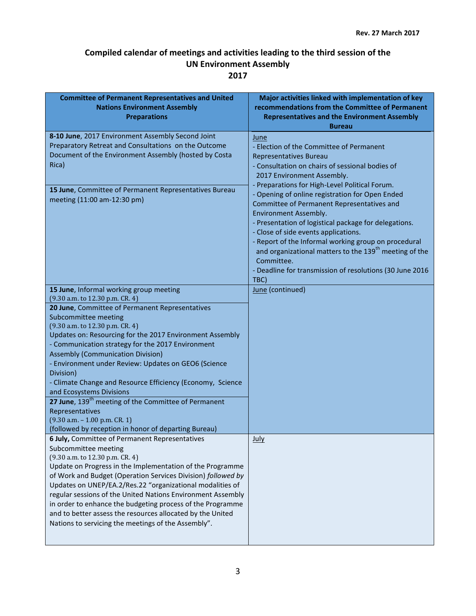| <b>Committee of Permanent Representatives and United</b><br><b>Nations Environment Assembly</b><br><b>Preparations</b>                                                                                                                                                                                                                                                                                                                                                                                                                                                                                                                                                                                 | Major activities linked with implementation of key<br>recommendations from the Committee of Permanent<br><b>Representatives and the Environment Assembly</b>                                                                                                                                                                                                                                                                                                                              |
|--------------------------------------------------------------------------------------------------------------------------------------------------------------------------------------------------------------------------------------------------------------------------------------------------------------------------------------------------------------------------------------------------------------------------------------------------------------------------------------------------------------------------------------------------------------------------------------------------------------------------------------------------------------------------------------------------------|-------------------------------------------------------------------------------------------------------------------------------------------------------------------------------------------------------------------------------------------------------------------------------------------------------------------------------------------------------------------------------------------------------------------------------------------------------------------------------------------|
| 8-10 June, 2017 Environment Assembly Second Joint<br>Preparatory Retreat and Consultations on the Outcome<br>Document of the Environment Assembly (hosted by Costa<br>Rica)                                                                                                                                                                                                                                                                                                                                                                                                                                                                                                                            | <b>Bureau</b><br><b>June</b><br>- Election of the Committee of Permanent<br>Representatives Bureau<br>- Consultation on chairs of sessional bodies of<br>2017 Environment Assembly.                                                                                                                                                                                                                                                                                                       |
| 15 June, Committee of Permanent Representatives Bureau<br>meeting (11:00 am-12:30 pm)                                                                                                                                                                                                                                                                                                                                                                                                                                                                                                                                                                                                                  | - Preparations for High-Level Political Forum.<br>- Opening of online registration for Open Ended<br>Committee of Permanent Representatives and<br>Environment Assembly.<br>- Presentation of logistical package for delegations.<br>- Close of side events applications.<br>- Report of the Informal working group on procedural<br>and organizational matters to the 139 <sup>th</sup> meeting of the<br>Committee.<br>- Deadline for transmission of resolutions (30 June 2016<br>TBC) |
| 15 June, Informal working group meeting<br>(9.30 a.m. to 12.30 p.m. CR. 4)<br>20 June, Committee of Permanent Representatives<br>Subcommittee meeting<br>(9.30 a.m. to 12.30 p.m. CR. 4)<br>Updates on: Resourcing for the 2017 Environment Assembly<br>- Communication strategy for the 2017 Environment<br><b>Assembly (Communication Division)</b><br>- Environment under Review: Updates on GEO6 (Science<br>Division)<br>- Climate Change and Resource Efficiency (Economy, Science<br>and Ecosystems Divisions<br>27 June, 139 <sup>th</sup> meeting of the Committee of Permanent<br>Representatives<br>$(9.30 a.m. - 1.00 p.m. CR. 1)$<br>(followed by reception in honor of departing Bureau) | June (continued)                                                                                                                                                                                                                                                                                                                                                                                                                                                                          |
| 6 July, Committee of Permanent Representatives<br>Subcommittee meeting<br>(9.30 a.m. to 12.30 p.m. CR. 4)<br>Update on Progress in the Implementation of the Programme<br>of Work and Budget (Operation Services Division) followed by<br>Updates on UNEP/EA.2/Res.22 "organizational modalities of<br>regular sessions of the United Nations Environment Assembly<br>in order to enhance the budgeting process of the Programme<br>and to better assess the resources allocated by the United<br>Nations to servicing the meetings of the Assembly".                                                                                                                                                  | July                                                                                                                                                                                                                                                                                                                                                                                                                                                                                      |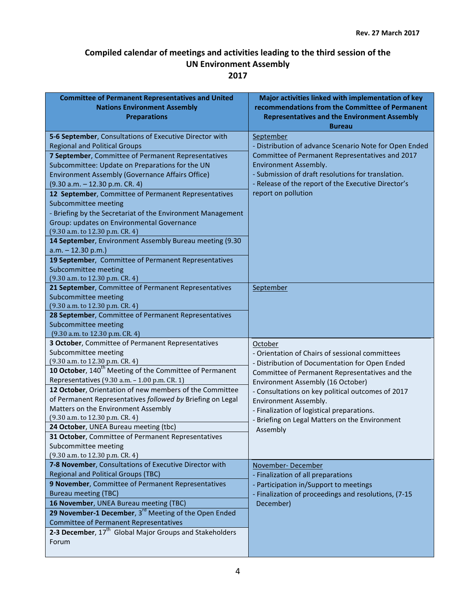| <b>Committee of Permanent Representatives and United</b><br><b>Nations Environment Assembly</b><br><b>Preparations</b>                                                                                                                                                                                                                                                                                                                                                                                                                                                                                                                                                                              | Major activities linked with implementation of key<br>recommendations from the Committee of Permanent<br><b>Representatives and the Environment Assembly</b><br><b>Bureau</b>                                                                                                                                                                                                                 |
|-----------------------------------------------------------------------------------------------------------------------------------------------------------------------------------------------------------------------------------------------------------------------------------------------------------------------------------------------------------------------------------------------------------------------------------------------------------------------------------------------------------------------------------------------------------------------------------------------------------------------------------------------------------------------------------------------------|-----------------------------------------------------------------------------------------------------------------------------------------------------------------------------------------------------------------------------------------------------------------------------------------------------------------------------------------------------------------------------------------------|
| 5-6 September, Consultations of Executive Director with<br><b>Regional and Political Groups</b><br>7 September, Committee of Permanent Representatives<br>Subcommittee: Update on Preparations for the UN<br>Environment Assembly (Governance Affairs Office)<br>$(9.30 a.m. - 12.30 p.m. CR. 4)$<br>12 September, Committee of Permanent Representatives<br>Subcommittee meeting<br>- Briefing by the Secretariat of the Environment Management<br>Group: updates on Environmental Governance<br>(9.30 a.m. to 12.30 p.m. CR. 4)<br>14 September, Environment Assembly Bureau meeting (9.30<br>$a.m. - 12.30 p.m.$<br>19 September, Committee of Permanent Representatives<br>Subcommittee meeting | September<br>- Distribution of advance Scenario Note for Open Ended<br>Committee of Permanent Representatives and 2017<br>Environment Assembly.<br>- Submission of draft resolutions for translation.<br>- Release of the report of the Executive Director's<br>report on pollution                                                                                                           |
| (9.30 a.m. to 12.30 p.m. CR. 4)<br>21 September, Committee of Permanent Representatives<br>Subcommittee meeting<br>(9.30 a.m. to 12.30 p.m. CR. 4)<br>28 September, Committee of Permanent Representatives<br>Subcommittee meeting<br>(9.30 a.m. to 12.30 p.m. CR. 4)                                                                                                                                                                                                                                                                                                                                                                                                                               | September                                                                                                                                                                                                                                                                                                                                                                                     |
| 3 October, Committee of Permanent Representatives<br>Subcommittee meeting<br>(9.30 a.m. to 12.30 p.m. CR. 4)<br>10 October, 140 <sup>th</sup> Meeting of the Committee of Permanent<br>Representatives (9.30 a.m. - 1.00 p.m. CR. 1)<br>12 October, Orientation of new members of the Committee<br>of Permanent Representatives followed by Briefing on Legal<br>Matters on the Environment Assembly<br>(9.30 a.m. to 12.30 p.m. CR. 4)<br>24 October, UNEA Bureau meeting (tbc)<br>31 October, Committee of Permanent Representatives<br>Subcommittee meeting<br>(9.30 a.m. to 12.30 p.m. CR. 4)                                                                                                   | October<br>- Orientation of Chairs of sessional committees<br>- Distribution of Documentation for Open Ended<br>Committee of Permanent Representatives and the<br>Environment Assembly (16 October)<br>- Consultations on key political outcomes of 2017<br>Environment Assembly.<br>- Finalization of logistical preparations.<br>- Briefing on Legal Matters on the Environment<br>Assembly |
| 7-8 November, Consultations of Executive Director with<br><b>Regional and Political Groups (TBC)</b><br>9 November, Committee of Permanent Representatives<br><b>Bureau meeting (TBC)</b><br>16 November, UNEA Bureau meeting (TBC)<br>29 November-1 December, 3 <sup>rd</sup> Meeting of the Open Ended<br><b>Committee of Permanent Representatives</b><br>2-3 December, 17 <sup>th</sup> Global Major Groups and Stakeholders<br>Forum                                                                                                                                                                                                                                                           | November-December<br>- Finalization of all preparations<br>- Participation in/Support to meetings<br>- Finalization of proceedings and resolutions, (7-15<br>December)                                                                                                                                                                                                                        |